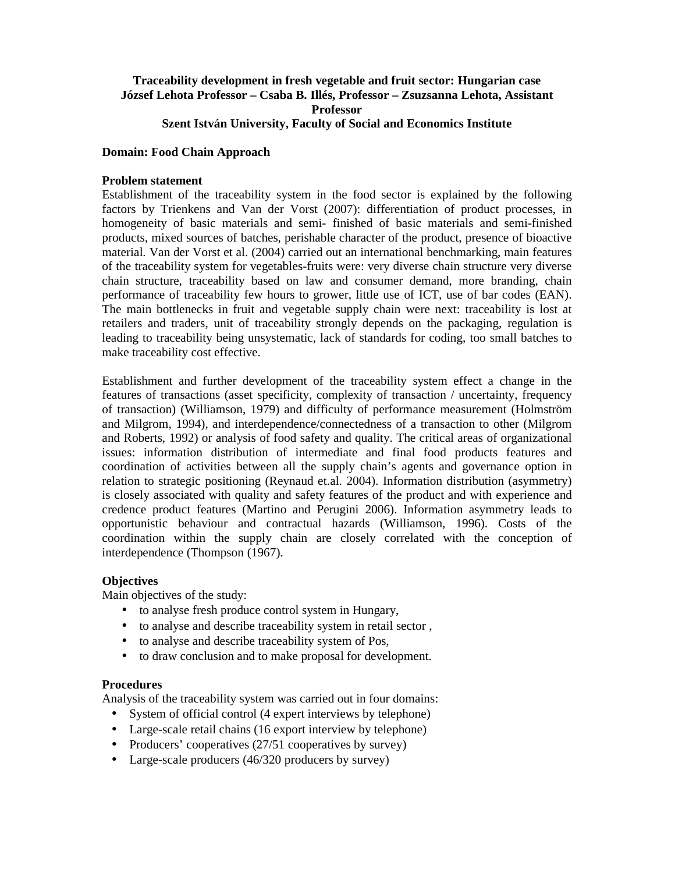### **Traceability development in fresh vegetable and fruit sector: Hungarian case József Lehota Professor – Csaba B. Illés, Professor – Zsuzsanna Lehota, Assistant Professor Szent István University, Faculty of Social and Economics Institute**

#### **Domain: Food Chain Approach**

#### **Problem statement**

Establishment of the traceability system in the food sector is explained by the following factors by Trienkens and Van der Vorst (2007): differentiation of product processes, in homogeneity of basic materials and semi- finished of basic materials and semi-finished products, mixed sources of batches, perishable character of the product, presence of bioactive material. Van der Vorst et al. (2004) carried out an international benchmarking, main features of the traceability system for vegetables-fruits were: very diverse chain structure very diverse chain structure, traceability based on law and consumer demand, more branding, chain performance of traceability few hours to grower, little use of ICT, use of bar codes (EAN). The main bottlenecks in fruit and vegetable supply chain were next: traceability is lost at retailers and traders, unit of traceability strongly depends on the packaging, regulation is leading to traceability being unsystematic, lack of standards for coding, too small batches to make traceability cost effective.

Establishment and further development of the traceability system effect a change in the features of transactions (asset specificity, complexity of transaction / uncertainty, frequency of transaction) (Williamson, 1979) and difficulty of performance measurement (Holmström and Milgrom, 1994), and interdependence/connectedness of a transaction to other (Milgrom and Roberts, 1992) or analysis of food safety and quality. The critical areas of organizational issues: information distribution of intermediate and final food products features and coordination of activities between all the supply chain's agents and governance option in relation to strategic positioning (Reynaud et.al. 2004). Information distribution (asymmetry) is closely associated with quality and safety features of the product and with experience and credence product features (Martino and Perugini 2006). Information asymmetry leads to opportunistic behaviour and contractual hazards (Williamson, 1996). Costs of the coordination within the supply chain are closely correlated with the conception of interdependence (Thompson (1967).

### **Objectives**

Main objectives of the study:

- to analyse fresh produce control system in Hungary,
- to analyse and describe traceability system in retail sector ,
- to analyse and describe traceability system of Pos,
- to draw conclusion and to make proposal for development.

#### **Procedures**

Analysis of the traceability system was carried out in four domains:

- System of official control (4 expert interviews by telephone)
- Large-scale retail chains (16 export interview by telephone)
- Producers' cooperatives (27/51 cooperatives by survey)
- Large-scale producers (46/320 producers by survey)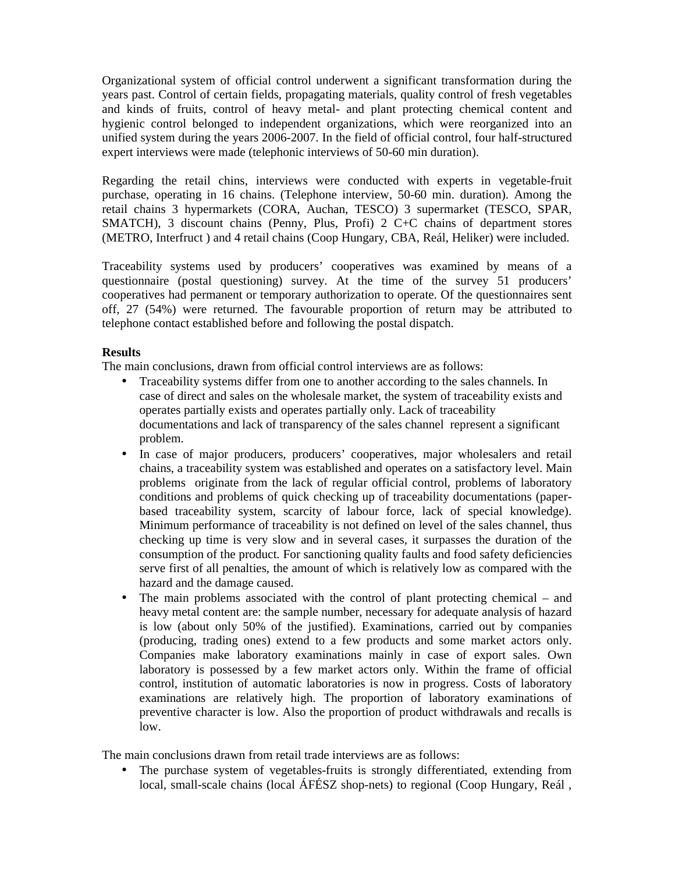Organizational system of official control underwent a significant transformation during the years past. Control of certain fields, propagating materials, quality control of fresh vegetables and kinds of fruits, control of heavy metal- and plant protecting chemical content and hygienic control belonged to independent organizations, which were reorganized into an unified system during the years 2006-2007. In the field of official control, four half-structured expert interviews were made (telephonic interviews of 50-60 min duration).

Regarding the retail chins, interviews were conducted with experts in vegetable-fruit purchase, operating in 16 chains. (Telephone interview, 50-60 min. duration). Among the retail chains 3 hypermarkets (CORA, Auchan, TESCO) 3 supermarket (TESCO, SPAR, SMATCH), 3 discount chains (Penny, Plus, Profi) 2 C+C chains of department stores (METRO, Interfruct ) and 4 retail chains (Coop Hungary, CBA, Reál, Heliker) were included.

Traceability systems used by producers' cooperatives was examined by means of a questionnaire (postal questioning) survey. At the time of the survey 51 producers' cooperatives had permanent or temporary authorization to operate. Of the questionnaires sent off, 27 (54%) were returned. The favourable proportion of return may be attributed to telephone contact established before and following the postal dispatch.

## **Results**

The main conclusions, drawn from official control interviews are as follows:

- Traceability systems differ from one to another according to the sales channels. In case of direct and sales on the wholesale market, the system of traceability exists and operates partially exists and operates partially only. Lack of traceability documentations and lack of transparency of the sales channel represent a significant problem.
- In case of major producers, producers' cooperatives, major wholesalers and retail chains, a traceability system was established and operates on a satisfactory level. Main problems originate from the lack of regular official control, problems of laboratory conditions and problems of quick checking up of traceability documentations (paperbased traceability system, scarcity of labour force, lack of special knowledge). Minimum performance of traceability is not defined on level of the sales channel, thus checking up time is very slow and in several cases, it surpasses the duration of the consumption of the product. For sanctioning quality faults and food safety deficiencies serve first of all penalties, the amount of which is relatively low as compared with the hazard and the damage caused.
- The main problems associated with the control of plant protecting chemical and heavy metal content are: the sample number, necessary for adequate analysis of hazard is low (about only 50% of the justified). Examinations, carried out by companies (producing, trading ones) extend to a few products and some market actors only. Companies make laboratory examinations mainly in case of export sales. Own laboratory is possessed by a few market actors only. Within the frame of official control, institution of automatic laboratories is now in progress. Costs of laboratory examinations are relatively high. The proportion of laboratory examinations of preventive character is low. Also the proportion of product withdrawals and recalls is low.

The main conclusions drawn from retail trade interviews are as follows:

• The purchase system of vegetables-fruits is strongly differentiated, extending from local, small-scale chains (local ÁFÉSZ shop-nets) to regional (Coop Hungary, Reál ,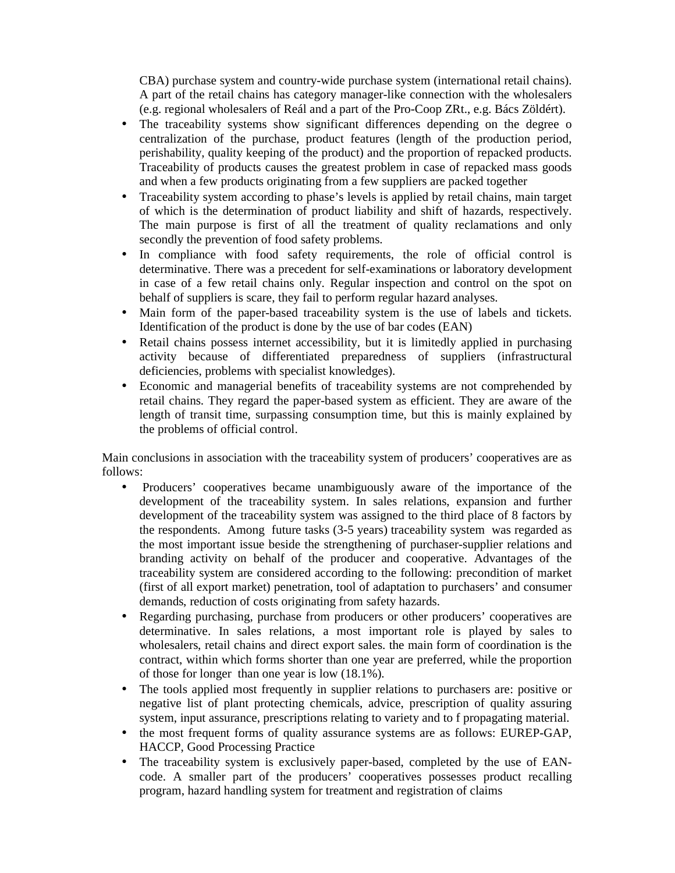CBA) purchase system and country-wide purchase system (international retail chains). A part of the retail chains has category manager-like connection with the wholesalers (e.g. regional wholesalers of Reál and a part of the Pro-Coop ZRt., e.g. Bács Zöldért).

- The traceability systems show significant differences depending on the degree o centralization of the purchase, product features (length of the production period, perishability, quality keeping of the product) and the proportion of repacked products. Traceability of products causes the greatest problem in case of repacked mass goods and when a few products originating from a few suppliers are packed together
- Traceability system according to phase's levels is applied by retail chains, main target of which is the determination of product liability and shift of hazards, respectively. The main purpose is first of all the treatment of quality reclamations and only secondly the prevention of food safety problems.
- In compliance with food safety requirements, the role of official control is determinative. There was a precedent for self-examinations or laboratory development in case of a few retail chains only. Regular inspection and control on the spot on behalf of suppliers is scare, they fail to perform regular hazard analyses.
- Main form of the paper-based traceability system is the use of labels and tickets. Identification of the product is done by the use of bar codes (EAN)
- Retail chains possess internet accessibility, but it is limitedly applied in purchasing activity because of differentiated preparedness of suppliers (infrastructural deficiencies, problems with specialist knowledges).
- Economic and managerial benefits of traceability systems are not comprehended by retail chains. They regard the paper-based system as efficient. They are aware of the length of transit time, surpassing consumption time, but this is mainly explained by the problems of official control.

Main conclusions in association with the traceability system of producers' cooperatives are as follows:

- Producers' cooperatives became unambiguously aware of the importance of the development of the traceability system. In sales relations, expansion and further development of the traceability system was assigned to the third place of 8 factors by the respondents. Among future tasks (3-5 years) traceability system was regarded as the most important issue beside the strengthening of purchaser-supplier relations and branding activity on behalf of the producer and cooperative. Advantages of the traceability system are considered according to the following: precondition of market (first of all export market) penetration, tool of adaptation to purchasers' and consumer demands, reduction of costs originating from safety hazards.
- Regarding purchasing, purchase from producers or other producers' cooperatives are determinative. In sales relations, a most important role is played by sales to wholesalers, retail chains and direct export sales. the main form of coordination is the contract, within which forms shorter than one year are preferred, while the proportion of those for longer than one year is low (18.1%).
- The tools applied most frequently in supplier relations to purchasers are: positive or negative list of plant protecting chemicals, advice, prescription of quality assuring system, input assurance, prescriptions relating to variety and to f propagating material.
- the most frequent forms of quality assurance systems are as follows: EUREP-GAP, HACCP, Good Processing Practice
- The traceability system is exclusively paper-based, completed by the use of EANcode. A smaller part of the producers' cooperatives possesses product recalling program, hazard handling system for treatment and registration of claims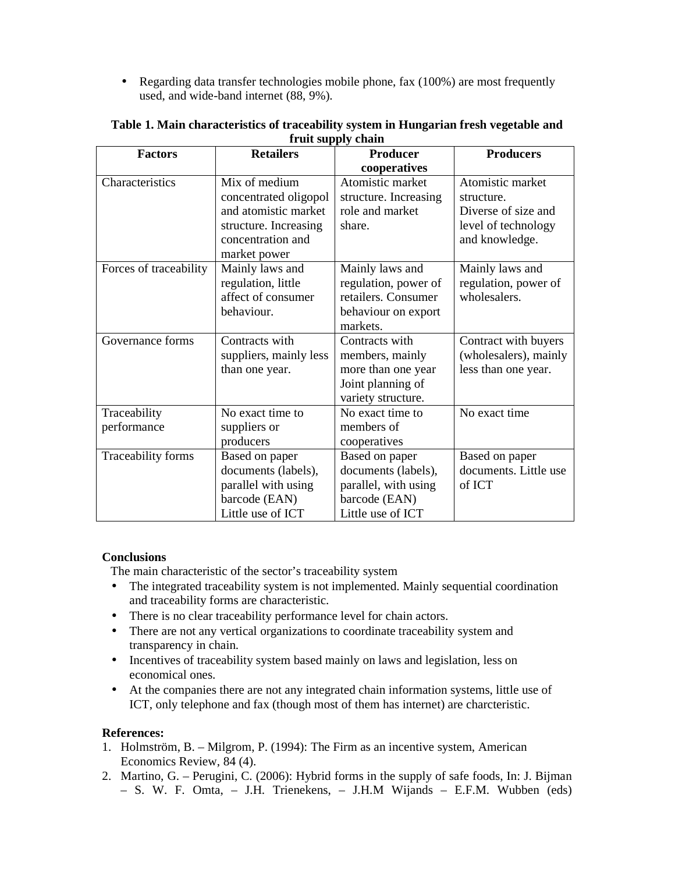• Regarding data transfer technologies mobile phone, fax (100%) are most frequently used, and wide-band internet (88, 9%).

| <b>Factors</b>         | <b>Retailers</b>       | <b>Producer</b>       | <b>Producers</b>      |
|------------------------|------------------------|-----------------------|-----------------------|
|                        |                        | cooperatives          |                       |
| Characteristics        | Mix of medium          | Atomistic market      | Atomistic market      |
|                        | concentrated oligopol  | structure. Increasing | structure.            |
|                        | and atomistic market   | role and market       | Diverse of size and   |
|                        | structure. Increasing  | share.                | level of technology   |
|                        | concentration and      |                       | and knowledge.        |
|                        | market power           |                       |                       |
| Forces of traceability | Mainly laws and        | Mainly laws and       | Mainly laws and       |
|                        | regulation, little     | regulation, power of  | regulation, power of  |
|                        | affect of consumer     | retailers. Consumer   | wholesalers.          |
|                        | behaviour.             | behaviour on export   |                       |
|                        |                        | markets.              |                       |
| Governance forms       | Contracts with         | Contracts with        | Contract with buyers  |
|                        | suppliers, mainly less | members, mainly       | (wholesalers), mainly |
|                        | than one year.         | more than one year    | less than one year.   |
|                        |                        | Joint planning of     |                       |
|                        |                        | variety structure.    |                       |
| Traceability           | No exact time to       | No exact time to      | No exact time         |
| performance            | suppliers or           | members of            |                       |
|                        | producers              | cooperatives          |                       |
| Traceability forms     | Based on paper         | Based on paper        | Based on paper        |
|                        | documents (labels),    | documents (labels),   | documents. Little use |
|                        | parallel with using    | parallel, with using  | of ICT                |
|                        | barcode (EAN)          | barcode (EAN)         |                       |
|                        | Little use of ICT      | Little use of ICT     |                       |

### **Table 1. Main characteristics of traceability system in Hungarian fresh vegetable and fruit supply chain**

### **Conclusions**

The main characteristic of the sector's traceability system

- The integrated traceability system is not implemented. Mainly sequential coordination and traceability forms are characteristic.
- There is no clear traceability performance level for chain actors.
- There are not any vertical organizations to coordinate traceability system and transparency in chain.
- Incentives of traceability system based mainly on laws and legislation, less on economical ones.
- At the companies there are not any integrated chain information systems, little use of ICT, only telephone and fax (though most of them has internet) are charcteristic.

# **References:**

- 1. Holmström, B. Milgrom, P. (1994): The Firm as an incentive system, American Economics Review, 84 (4).
- 2. Martino, G. Perugini, C. (2006): Hybrid forms in the supply of safe foods, In: J. Bijman – S. W. F. Omta, – J.H. Trienekens, – J.H.M Wijands – E.F.M. Wubben (eds)